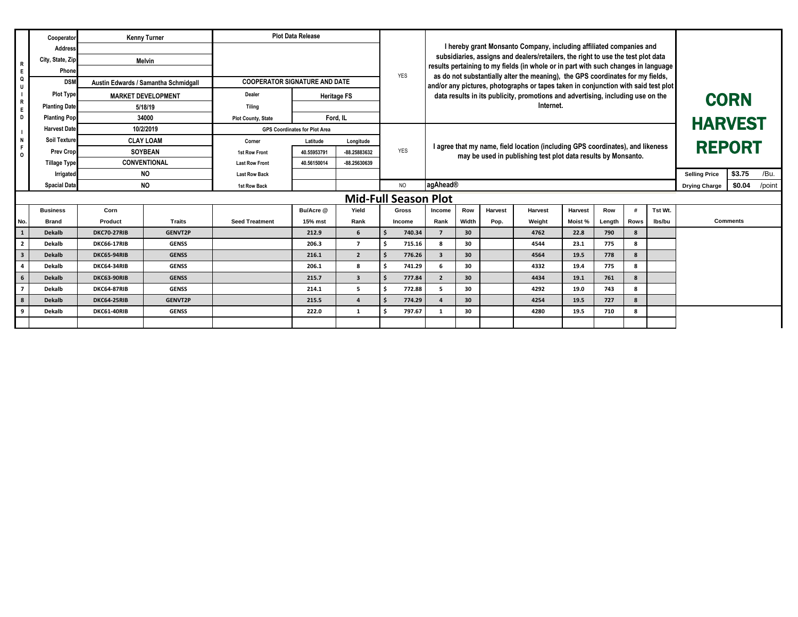|                                                                      | Cooperator                       |                                      | <b>Kenny Turner</b> |                                      | <b>Plot Data Release</b> |                         |                                                                     |                                                                                                                                                                                                                                                          |                                                                                                                                                 |         |                |         |        |                      |                  |               |                 |  |
|----------------------------------------------------------------------|----------------------------------|--------------------------------------|---------------------|--------------------------------------|--------------------------|-------------------------|---------------------------------------------------------------------|----------------------------------------------------------------------------------------------------------------------------------------------------------------------------------------------------------------------------------------------------------|-------------------------------------------------------------------------------------------------------------------------------------------------|---------|----------------|---------|--------|----------------------|------------------|---------------|-----------------|--|
|                                                                      | <b>Address</b>                   | City, State, Zip<br>Melvin<br>Phone  |                     |                                      |                          |                         | I hereby grant Monsanto Company, including affiliated companies and |                                                                                                                                                                                                                                                          |                                                                                                                                                 |         |                |         |        |                      |                  |               |                 |  |
| R<br>E<br>Q<br>$\mathsf{R}$<br>E<br>D<br>N<br>$\mathsf F$<br>$\circ$ |                                  |                                      |                     |                                      |                          |                         | YES                                                                 | subsidiaries, assigns and dealers/retailers, the right to use the test plot data<br>results pertaining to my fields (in whole or in part with such changes in language<br>as do not substantially alter the meaning), the GPS coordinates for my fields, |                                                                                                                                                 |         |                |         |        |                      |                  |               |                 |  |
|                                                                      |                                  |                                      |                     |                                      |                          |                         |                                                                     |                                                                                                                                                                                                                                                          |                                                                                                                                                 |         |                |         |        |                      |                  |               |                 |  |
|                                                                      | <b>DSM</b>                       | Austin Edwards / Samantha Schmidgall |                     | <b>COOPERATOR SIGNATURE AND DATE</b> |                          |                         |                                                                     |                                                                                                                                                                                                                                                          | and/or any pictures, photographs or tapes taken in conjunction with said test plot                                                              |         |                |         |        |                      |                  |               |                 |  |
|                                                                      | <b>Plot Type</b>                 | <b>MARKET DEVELOPMENT</b>            |                     | Dealer                               | <b>Heritage FS</b>       |                         |                                                                     | data results in its publicity, promotions and advertising, including use on the                                                                                                                                                                          |                                                                                                                                                 |         |                |         |        |                      | <b>CORN</b>      |               |                 |  |
|                                                                      | <b>Planting Date</b>             | 5/18/19                              |                     | Tilina                               |                          |                         |                                                                     | Internet.                                                                                                                                                                                                                                                |                                                                                                                                                 |         |                |         |        |                      | <b>HARVEST</b>   |               |                 |  |
|                                                                      | <b>Planting Pop</b>              | 34000                                |                     | <b>Plot County, State</b>            | Ford. IL                 |                         |                                                                     |                                                                                                                                                                                                                                                          |                                                                                                                                                 |         |                |         |        |                      |                  |               |                 |  |
|                                                                      | <b>Harvest Date</b>              | 10/2/2019                            |                     | <b>GPS Coordinates for Plot Area</b> |                          |                         |                                                                     |                                                                                                                                                                                                                                                          |                                                                                                                                                 |         |                |         |        |                      |                  |               |                 |  |
|                                                                      | <b>Soil Texture</b>              | <b>CLAY LOAM</b>                     |                     | Corner                               | Latitude                 | Longitude               |                                                                     |                                                                                                                                                                                                                                                          |                                                                                                                                                 |         |                |         |        |                      |                  |               |                 |  |
|                                                                      | <b>Prev Crop</b>                 |                                      | <b>SOYBEAN</b>      | 1st Row Front                        | 40.55953791              | -88.25883632            | YES                                                                 |                                                                                                                                                                                                                                                          | I agree that my name, field location (including GPS coordinates), and likeness<br>may be used in publishing test plot data results by Monsanto. |         |                |         |        |                      |                  | <b>REPORT</b> |                 |  |
|                                                                      | <b>Tillage Type</b>              | <b>CONVENTIONAL</b>                  |                     | <b>Last Row Front</b>                | 40.56150014              | -88.25630639            |                                                                     |                                                                                                                                                                                                                                                          |                                                                                                                                                 |         |                |         |        |                      |                  |               |                 |  |
|                                                                      | Irrigated                        | <b>NO</b>                            |                     | <b>Last Row Back</b>                 |                          |                         |                                                                     |                                                                                                                                                                                                                                                          |                                                                                                                                                 |         |                |         |        | <b>Selling Price</b> | \$3.75<br>/Bu.   |               |                 |  |
|                                                                      | <b>NO</b><br><b>Spacial Data</b> |                                      |                     | <b>1st Row Back</b>                  |                          |                         | <b>NO</b>                                                           | agAhead®                                                                                                                                                                                                                                                 |                                                                                                                                                 |         |                |         |        | <b>Drying Charge</b> | /point<br>\$0.04 |               |                 |  |
| <b>Mid-Full Season Plot</b>                                          |                                  |                                      |                     |                                      |                          |                         |                                                                     |                                                                                                                                                                                                                                                          |                                                                                                                                                 |         |                |         |        |                      |                  |               |                 |  |
|                                                                      | <b>Business</b>                  | Corn                                 |                     |                                      | Bu/Acre @                | Yield                   | <b>Gross</b>                                                        | Income                                                                                                                                                                                                                                                   | Row                                                                                                                                             | Harvest | <b>Harvest</b> | Harvest | Row    |                      | Tst Wt.          |               |                 |  |
| No.                                                                  | Brand                            | Product                              | <b>Traits</b>       | <b>Seed Treatment</b>                | 15% mst                  | Rank                    | Income                                                              | Rank                                                                                                                                                                                                                                                     | Width                                                                                                                                           | Pop.    | Weight         | Moist % | Length | Rows                 | lbs/bu           |               | <b>Comments</b> |  |
| <sup>1</sup>                                                         | <b>Dekalb</b>                    | <b>DKC70-27RIB</b>                   | <b>GENVT2P</b>      |                                      | 212.9                    | 6                       | 740.34<br>\$.                                                       | $\overline{z}$                                                                                                                                                                                                                                           | 30                                                                                                                                              |         | 4762           | 22.8    | 790    | 8                    |                  |               |                 |  |
| $\overline{2}$                                                       | Dekalb                           | DKC66-17RIB                          | <b>GENSS</b>        |                                      | 206.3                    | $\overline{7}$          | 715.16<br>Ŝ.                                                        | 8                                                                                                                                                                                                                                                        | 30                                                                                                                                              |         | 4544           | 23.1    | 775    | 8                    |                  |               |                 |  |
| $\overline{\mathbf{3}}$                                              | <b>Dekalb</b>                    | DKC65-94RIB                          | <b>GENSS</b>        |                                      | 216.1                    | $\overline{2}$          | \$.<br>776.26                                                       | 3                                                                                                                                                                                                                                                        | 30                                                                                                                                              |         | 4564           | 19.5    | 778    | 8                    |                  |               |                 |  |
| $\overline{a}$                                                       | Dekalb                           | <b>DKC64-34RIB</b>                   | <b>GENSS</b>        |                                      | 206.1                    | 8                       | Š.<br>741.29                                                        | 6                                                                                                                                                                                                                                                        | 30                                                                                                                                              |         | 4332           | 19.4    | 775    | 8                    |                  |               |                 |  |
| $6\phantom{.}6$                                                      | <b>Dekalb</b>                    | DKC63-90RIB                          | <b>GENSS</b>        |                                      | 215.7                    | $\overline{\mathbf{3}}$ | $\ddot{\mathbf{s}}$<br>777.84                                       | $\overline{2}$                                                                                                                                                                                                                                           | 30                                                                                                                                              |         | 4434           | 19.1    | 761    | 8                    |                  |               |                 |  |
| $\overline{7}$                                                       | Dekalb                           | DKC64-87RIB                          | <b>GENSS</b>        |                                      | 214.1                    | 5                       | 772.88<br>Ŝ                                                         | 5                                                                                                                                                                                                                                                        | 30                                                                                                                                              |         | 4292           | 19.0    | 743    | 8                    |                  |               |                 |  |
| 8                                                                    | <b>Dekalb</b>                    | DKC64-25RIB                          | <b>GENVT2P</b>      |                                      | 215.5                    | $\Delta$                | 774.29<br>\$.                                                       |                                                                                                                                                                                                                                                          | 30                                                                                                                                              |         | 4254           | 19.5    | 727    | 8                    |                  |               |                 |  |
| 9                                                                    | Dekalb                           | <b>DKC61-40RIB</b>                   | <b>GENSS</b>        |                                      | 222.0                    | $\mathbf{1}$            | 797.67<br>Ŝ.                                                        | -1                                                                                                                                                                                                                                                       | 30                                                                                                                                              |         | 4280           | 19.5    | 710    | 8                    |                  |               |                 |  |
|                                                                      |                                  |                                      |                     |                                      |                          |                         |                                                                     |                                                                                                                                                                                                                                                          |                                                                                                                                                 |         |                |         |        |                      |                  |               |                 |  |